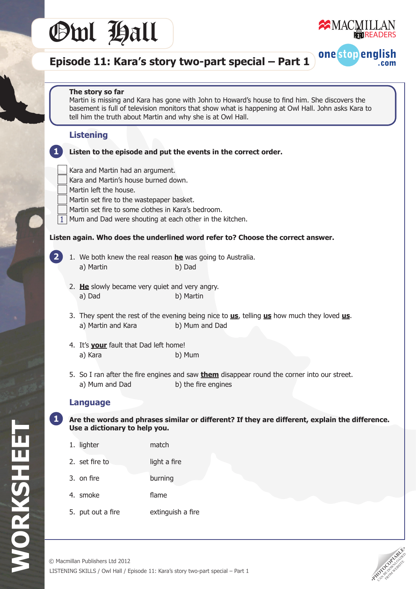



one stop english

.com

# **Episode 11: Kara's story two-part special – Part 1**

#### **The story so far**

 Martin is missing and Kara has gone with John to Howard's house to find him. She discovers the basement is full of television monitors that show what is happening at Owl Hall. John asks Kara to tell him the truth about Martin and why she is at Owl Hall.

### **Listening**

- **Listen to the episode and put the events in the correct order.**
- Kara and Martin had an argument.
- Kara and Martin's house burned down.
- Martin left the house.
- Martin set fire to the wastepaper basket.
- Martin set fire to some clothes in Kara's bedroom.
- Mum and Dad were shouting at each other in the kitchen. 1

#### **Listen again. Who does the underlined word refer to? Choose the correct answer.**

**2**

**1**

- 1. We both knew the real reason **he** was going to Australia. a) Martin b) Dad
- 2. He slowly became very quiet and very angry. a) Dad b) Martin
- 3. They spent the rest of the evening being nice to **us**, telling **us** how much they loved **us**. a) Martin and Kara b) Mum and Dad
- 4. It's **your** fault that Dad left home! a) Kara b) Mum
- 5. So I ran after the fire engines and saw **them** disappear round the corner into our street. a) Mum and Dad b) the fire engines

#### **Language**

- **Are the words and phrases similar or different? If they are different, explain the difference. Use a dictionary to help you. 1**
	- 1. lighter match
	- 2. set fire to light a fire
	- 3. on fire **burning**
	- 4. smoke **flame**
	- 5. put out a fire **Extinguish a fire**

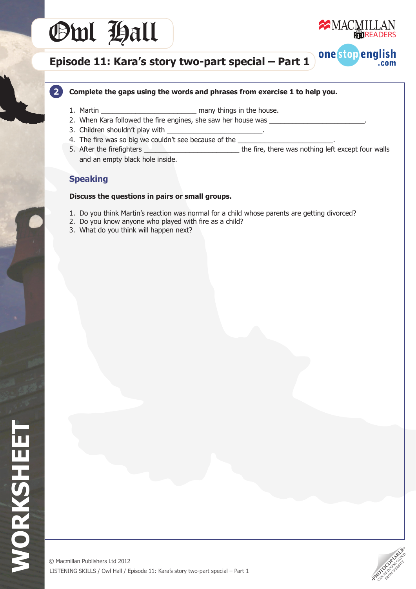# Owl Hall



one stop english

.com

## **Episode 11: Kara's story two-part special – Part 1**

### **Complete the gaps using the words and phrases from exercise 1 to help you.**

- 1. Martin \_\_\_\_\_\_\_\_\_\_\_\_\_\_\_\_\_\_\_\_\_\_\_\_\_ many things in the house.
- 2. When Kara followed the fire engines, she saw her house was
- 3. Children shouldn't play with
- 4. The fire was so big we couldn't see because of the
- 5. After the firefighters \_\_\_\_\_\_\_\_\_\_\_\_\_\_\_\_\_\_\_\_\_\_\_\_\_ the fire, there was nothing left except four walls and an empty black hole inside.

## **Speaking**

**2**

### **Discuss the questions in pairs or small groups.**

- 1. Do you think Martin's reaction was normal for a child whose parents are getting divorced?
- 2. Do you know anyone who played with fire as a child?
- 3. What do you think will happen next?

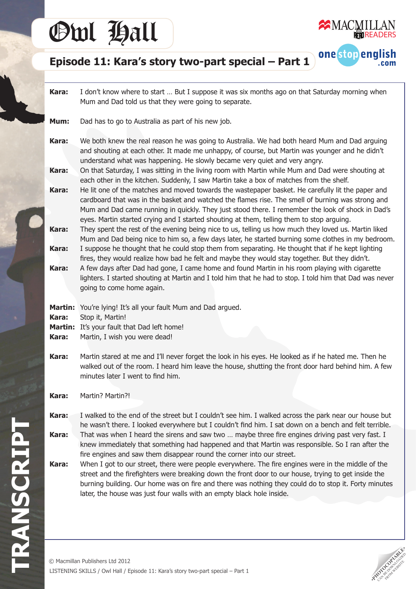# Owl Hall



one stop english

**com** 

## **Episode 11: Kara's story two-part special – Part 1**

**Kara:** I don't know where to start … But I suppose it was six months ago on that Saturday morning when Mum and Dad told us that they were going to separate.

- **Mum:** Dad has to go to Australia as part of his new job.
- **Kara:** We both knew the real reason he was going to Australia. We had both heard Mum and Dad arguing and shouting at each other. It made me unhappy, of course, but Martin was younger and he didn't understand what was happening. He slowly became very quiet and very angry.

**Kara:**  On that Saturday, I was sitting in the living room with Martin while Mum and Dad were shouting at each other in the kitchen. Suddenly, I saw Martin take a box of matches from the shelf.

**Kara:** He lit one of the matches and moved towards the wastepaper basket. He carefully lit the paper and cardboard that was in the basket and watched the flames rise. The smell of burning was strong and Mum and Dad came running in quickly. They just stood there. I remember the look of shock in Dad's eyes. Martin started crying and I started shouting at them, telling them to stop arguing.

**Kara:** They spent the rest of the evening being nice to us, telling us how much they loved us. Martin liked Mum and Dad being nice to him so, a few days later, he started burning some clothes in my bedroom. **Kara:** I suppose he thought that he could stop them from separating. He thought that if he kept lighting

 fires, they would realize how bad he felt and maybe they would stay together. But they didn't.

**Kara:** A few days after Dad had gone, I came home and found Martin in his room playing with cigarette lighters. I started shouting at Martin and I told him that he had to stop. I told him that Dad was never going to come home again.

**Martin:** You're lying! It's all your fault Mum and Dad argued.

**Kara:** Stop it, Martin!

- **Martin:** It's your fault that Dad left home!
- **Kara:** Martin, I wish you were dead!

**Kara:** Martin stared at me and I'll never forget the look in his eyes. He looked as if he hated me. Then he walked out of the room. I heard him leave the house, shutting the front door hard behind him. A few minutes later I went to find him.

**Kara:**  Martin? Martin?!

**Kara:** I walked to the end of the street but I couldn't see him. I walked across the park near our house but he wasn't there. I looked everywhere but I couldn't find him. I sat down on a bench and felt terrible.

**Kara:** That was when I heard the sirens and saw two ... maybe three fire engines driving past very fast. I knew immediately that something had happened and that Martin was responsible. So I ran after the fire engines and saw them disappear round the corner into our street.

**Kara:** When I got to our street, there were people everywhere. The fire engines were in the middle of the street and the firefighters were breaking down the front door to our house, trying to get inside the burning building. Our home was on fire and there was nothing they could do to stop it. Forty minutes later, the house was just four walls with an empty black hole inside.